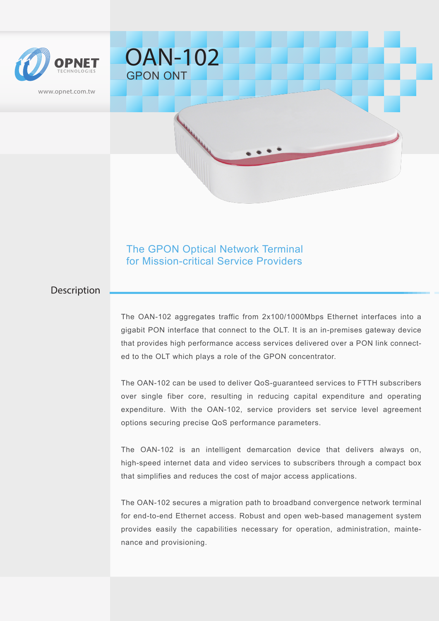

www.opnet.com.tw

GPON ONT

OAN-102

# The GPON Optical Network Terminal for Mission-critical Service Providers

### Description

The OAN-102 aggregates traffic from 2x100/1000Mbps Ethernet interfaces into a gigabit PON interface that connect to the OLT. It is an in-premises gateway device that provides high performance access services delivered over a PON link connected to the OLT which plays a role of the GPON concentrator.

The OAN-102 can be used to deliver QoS-guaranteed services to FTTH subscribers over single fiber core, resulting in reducing capital expenditure and operating expenditure. With the OAN-102, service providers set service level agreement options securing precise QoS performance parameters.

The OAN-102 is an intelligent demarcation device that delivers always on, high-speed internet data and video services to subscribers through a compact box that simplifies and reduces the cost of major access applications.

The OAN-102 secures a migration path to broadband convergence network terminal for end-to-end Ethernet access. Robust and open web-based management system provides easily the capabilities necessary for operation, administration, maintenance and provisioning.